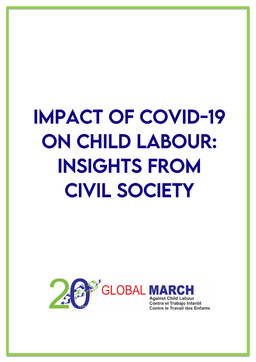# IMPACT OF COVID-19 ON CHILD LABOUR: INSIGHTS FROM CIVIL SOCIETY

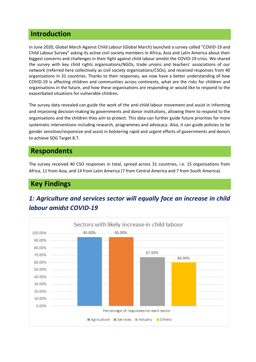#### **Introduction**

In June 2020, Global March Against Child Labour (Global March) launched a survey called "COVID-19 and Child Labour Survey" asking its active civil society members in Africa, Asia and Latin America about their biggest concerns and challenges in their fight against child labour amidst the COVID-19 crisis. We shared the survey with key child rights organisations/NGOs, trade unions and teachers' associations of our network (referred here collectively as civil society organisations/CSOs), and received responses from 40 organisations in 31 countries. Thanks to their responses, we now have a better understanding of how COVID-19 is affecting children and communities across continents, what are the risks for children and organisations in the future, and how these organisations are responding or would like to respond to the exacerbated situations for vulnerable children.

The survey data revealed can guide the work of the anti-child labour movement and assist in informing and improving decision-making by governments and donor institutions, allowing them to respond to the organisations and the children they aim to protect. This data can further guide future priorities for more systematic interventions including research, programmes and advocacy. Also, it can guide policies to be gender sensitive/responsive and assist in bolstering rapid and urgent efforts of governments and donors to achieve SDG Target 8.7.

#### **Respondents**

The survey received 40 CSO responses in total, spread across 31 countries, i.e. 15 organisations from Africa, 11 from Asia, and 14 from Latin America (7 from Central America and 7 from South America).

## **Key Findings**



## *1: Agriculture and services sector will equally face an increase in child labour amidst COVID-19*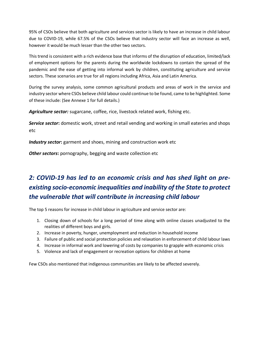95% of CSOs believe that both agriculture and services sector is likely to have an increase in child labour due to COVID-19, while 67.5% of the CSOs believe that industry sector will face an increase as well, however it would be much lesser than the other two sectors.

This trend is consistent with a rich evidence base that informs of the disruption of education, limited/lack of employment options for the parents during the worldwide lockdowns to contain the spread of the pandemic and the ease of getting into informal work by children, constituting agriculture and service sectors. These scenarios are true for all regions including Africa, Asia and Latin America.

During the survey analysis, some common agricultural products and areas of work in the service and industry sector where CSOs believe child labour could continue to be found, came to be highlighted. Some of these include: (See Annexe 1 for full details.)

*Agriculture sector:* sugarcane, coffee, rice, livestock related work, fishing etc.

*Service sector***:** domestic work, street and retail vending and working in small eateries and shops etc

*Industry sector***:** garment and shoes, mining and construction work etc

*Other sectors***:** pornography, begging and waste collection etc

# *2: COVID-19 has led to an economic crisis and has shed light on preexisting socio-economic inequalities and inability of the State to protect the vulnerable that will contribute in increasing child labour*

The top 5 reasons for increase in child labour in agriculture and service sector are:

- 1. Closing down of schools for a long period of time along with online classes unadjusted to the realities of different boys and girls.
- 2. Increase in poverty, hunger, unemployment and reduction in household income
- 3. Failure of public and social protection policies and relaxation in enforcement of child labour laws
- 4. Increase in informal work and lowering of costs by companies to grapple with economic crisis
- 5. Violence and lack of engagement or recreation options for children at home

Few CSOs also mentioned that indigenous communities are likely to be affected severely.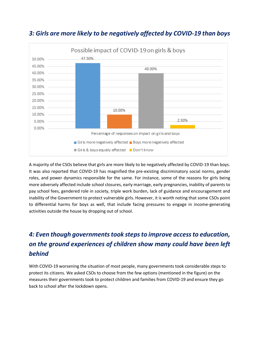

## *3: Girls are more likely to be negatively affected by COVID-19 than boys*

A majority of the CSOs believe that girls are more likely to be negatively affected by COVID-19 than boys. It was also reported that COVID-19 has magnified the pre-existing discriminatory social norms, gender roles, and power dynamics responsible for the same. For instance, some of the reasons for girls being more adversely affected include school closures, early marriage, early pregnancies, inability of parents to pay school fees, gendered role in society, triple work burden, lack of guidance and encouragement and inability of the Government to protect vulnerable girls. However, it is worth noting that some CSOs point to differential harms for boys as well, that include facing pressures to engage in income-generating activities outside the house by dropping out of school.

# *4: Even though governments took steps to improve access to education, on the ground experiences of children show many could have been left behind*

With COVID-19 worsening the situation of most people, many governments took considerable steps to protect its citizens. We asked CSOs to choose from the few options (mentioned in the figure) on the measures their governments took to protect children and families from COVID-19 and ensure they go back to school after the lockdown opens.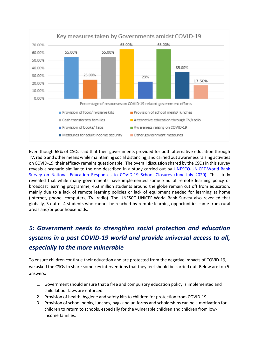

Even though 65% of CSOs said that their governments provided for both alternative education through TV, radio and other means while maintaining social distancing, and carried out awareness raising activities on COVID-19, their efficacy remains questionable. The overall discussion shared by the CSOs in this survey reveals a scenario similar to the one described in a study carried out by [UNESCO-UNICEF-World Bank](https://data.unicef.org/resources/remote-learning-reachability-factsheet/)  [Survey on National Education Responses to COVID-19 School Closures \(June-July 2020\).](https://data.unicef.org/resources/remote-learning-reachability-factsheet/) This stud[y](https://data.unicef.org/resources/remote-learning-reachability-factsheet/) revealed that while many governments have implemented some kind of remote learning policy or broadcast learning programme, 463 million students around the globe remain cut off from education, mainly due to a lack of remote learning policies or lack of equipment needed for learning at home (internet, phone, computers, TV, radio). The UNESCO-UNICEF-World Bank Survey also revealed that globally, 3 out of 4 students who cannot be reached by remote learning opportunities came from rural areas and/or poor households.

# *5: Government needs to strengthen social protection and education systems in a post COVID-19 world and provide universal access to all, especially to the more vulnerable*

To ensure children continue their education and are protected from the negative impacts of COVID-19, we asked the CSOs to share some key interventions that they feel should be carried out. Below are top 5 answers:

- 1. Government should ensure that a free and compulsory education policy is implemented and child labour laws are enforced.
- 2. Provision of health, hygiene and safety kits to children for protection from COVID-19
- 3. Provision of school books, lunches, bags and uniforms and scholarships can be a motivation for children to return to schools, especially for the vulnerable children and children from lowincome families.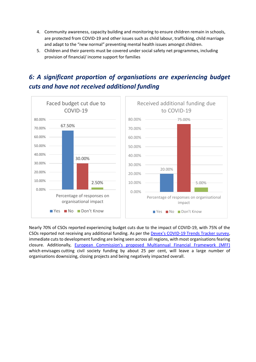- 4. Community awareness, capacity building and monitoring to ensure children remain in schools, are protected from COVID-19 and other issues such as child labour, trafficking, child marriage and adapt to the "new normal" preventing mental health issues amongst children.
- 5. Children and their parents must be covered under social safety net programmes, including provision of financial/ income support for families



# *6: A significant proportion of organisations are experiencing budget cuts and have not received additional funding*

Nearly 70% of CSOs reported experiencing budget cuts due to the impact of COVID-19, with 75% of the CSOs reported not receiving any additional funding. As per the [Devex's COVID-19 Trends Tracker survey,](https://www.devex.com/news/development-pros-brace-for-more-needs-less-money-post-pandemic-97245) immediate cuts to development funding are being seen across all regions, with most organisations fearing closure. Additionally, [European Commission's proposed Multiannual Financial Framework \(MFF\)](https://eur-lex.europa.eu/legal-content/EN/TXT/?uri=COM%3A2020%3A442%3AFIN) which [envisages](https://eur-lex.europa.eu/legal-content/EN/TXT/?uri=COM%3A2020%3A442%3AFIN) cutting civil society funding by about 25 per cent, will leave a large number of organisations downsizing, closing projects and being negatively impacted overall.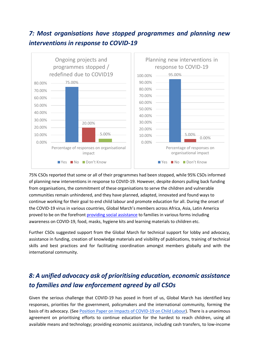## *7: Most organisations have stopped programmes and planning new interventions in response to COVID-19*



75% CSOs reported that some or all of their programmes had been stopped, while 95% CSOs informed of planning new interventions in response to COVID-19. However, despite donors pulling back funding from organisations, the commitment of these organisations to serve the children and vulnerable communities remain unhindered, and they have planned, adapted, innovated and found ways to continue working for their goal to end child labour and promote education for all. During the onset of the COVID-19 virus in various countries, Global March's members across Africa, Asia, Latin America proved to be on the forefront [providing social assistance](https://globalmarch.org/supporting-families-and-children-in-need-global-march-networks-response-to-covid-19/) to families in various forms including awareness on COVID-19, food, masks, hygiene kits and learning materials to children etc.

Further CSOs suggested support from the Global March for technical support for lobby and advocacy, assistance in funding, creation of knowledge materials and visibility of publications, training of technical skills and best practices and for facilitating coordination amongst members globally and with the international community.

# *8: A unified advocacy ask of prioritising education, economic assistance to families and law enforcement agreed by all CSOs*

Given the serious challenge that COVID-19 has posed in front of us, Global March has identified key responses, priorities for the government, policymakers and the international community, forming the basis of its advocacy. (See [Position Paper on Impacts of COVID-19 on Child Labour\)](https://globalmarch.org/wp-content/uploads/2020/06/Covid-19-PositionPaper-Justified.pdf). There is a unanimous agreement on prioritising efforts to continue education for the hardest to reach children, using all available means and technology; providing economic assistance, including cash transfers, to low-income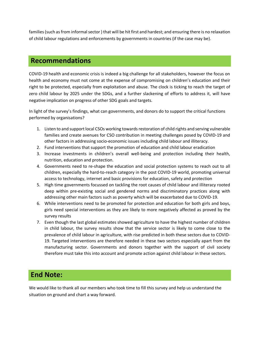families (such as from informal sector ) that will be hit first and hardest; and ensuring there is no relaxation of child labour regulations and enforcements by governments in countries (if the case may be).

#### **Recommendations**

COVID-19 health and economic crisis is indeed a big challenge for all stakeholders, however the focus on health and economy must not come at the expense of compromising on children's education and their right to be protected, especially from exploitation and abuse. The clock is ticking to reach the target of zero child labour by 2025 under the SDGs, and a further slackening of efforts to address it, will have negative implication on progress of other SDG goals and targets.

In light of the survey's findings, what can governments, and donors do to support the critical functions performed by organisations?

- 1. Listen to and support local CSOs working towards restoration of child rights and serving vulnerable families and create avenues for CSO contribution in meeting challenges posed by COVID-19 and other factors in addressing socio-economic issues including child labour and illiteracy.
- 2. Fund interventions that support the promotion of education and child labour eradication
- 3. Increase investments in children's overall well-being and protection including their health, nutrition, education and protection.
- 4. Governments need to re-shape the education and social protection systems to reach out to all children, especially the hard-to-reach category in the post COVID-19 world, promoting universal access to technology, internet and basic provisions for education, safety and protection
- 5. High time governments focussed on tackling the root causes of child labour and illiteracy rooted deep within pre-existing social and gendered norms and discriminatory practices along with addressing other main factors such as poverty which will be exacerbated due to COVID-19.
- 6. While interventions need to be promoted for protection and education for both girls and boys, girls need special interventions as they are likely to more negatively affected as proved by the survey results
- 7. Even though the last global estimates showed agriculture to have the highest number of children in child labour, the survey results show that the service sector is likely to come close to the prevalence of child labour in agriculture, with rise predicted in both these sectors due to COVID-19. Targeted interventions are therefore needed in these two sectors especially apart from the manufacturing sector. Governments and donors together with the support of civil society therefore must take this into account and promote action against child labour in these sectors.

## **End Note:**

We would like to thank all our members who took time to fill this survey and help us understand the situation on ground and chart a way forward.